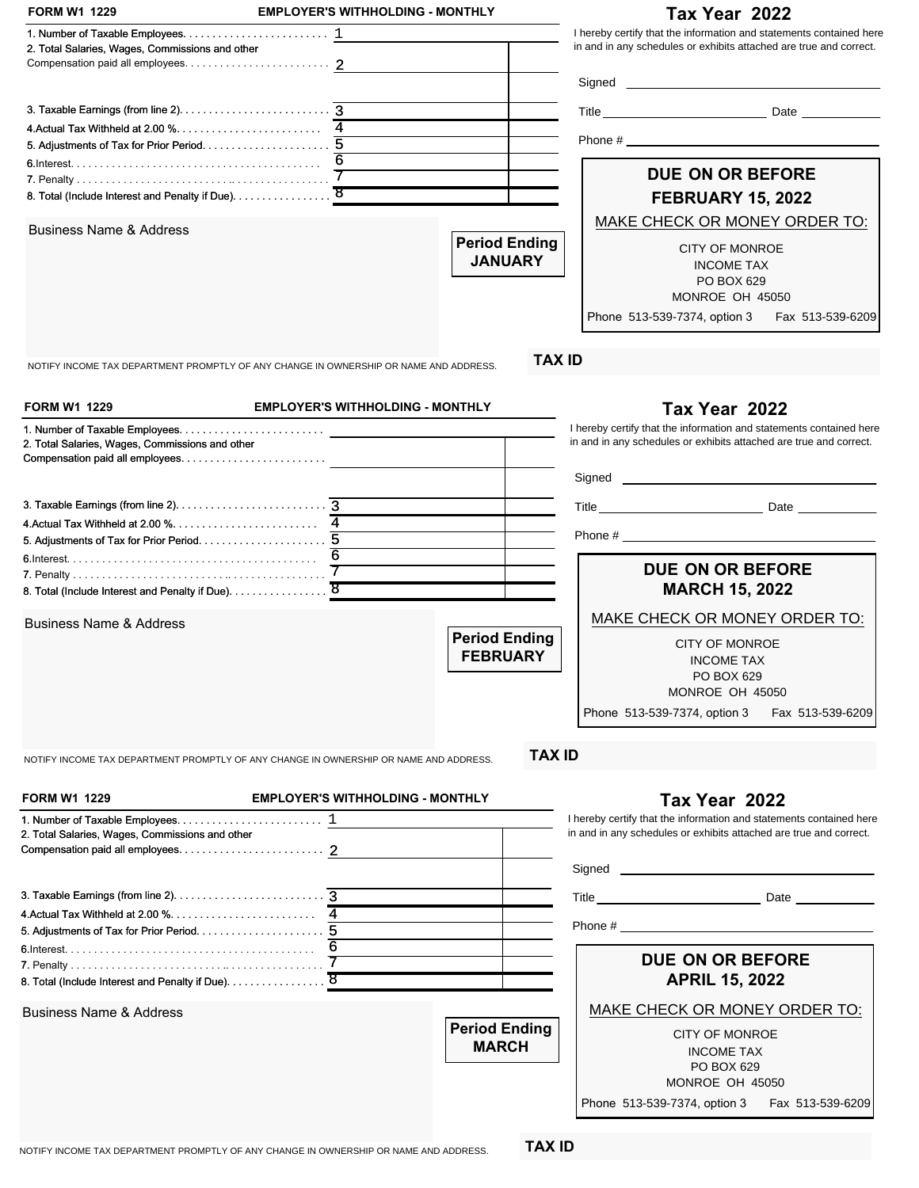|                                                                                                                                            | <b>EMPLOYER'S WITHHOLDING - MONTHLY</b> |                                         | Tax Year 2022                                                                                                                                                                                                                                                                                                                                                                                                |
|--------------------------------------------------------------------------------------------------------------------------------------------|-----------------------------------------|-----------------------------------------|--------------------------------------------------------------------------------------------------------------------------------------------------------------------------------------------------------------------------------------------------------------------------------------------------------------------------------------------------------------------------------------------------------------|
| 1. Number of Taxable Employees. $\dots \dots \dots \dots \dots \dots \dots \dots \dots$                                                    |                                         |                                         | I hereby certify that the information and statements contained here                                                                                                                                                                                                                                                                                                                                          |
| 2. Total Salaries, Wages, Commissions and other                                                                                            |                                         |                                         | in and in any schedules or exhibits attached are true and correct.                                                                                                                                                                                                                                                                                                                                           |
|                                                                                                                                            |                                         |                                         |                                                                                                                                                                                                                                                                                                                                                                                                              |
|                                                                                                                                            |                                         |                                         |                                                                                                                                                                                                                                                                                                                                                                                                              |
|                                                                                                                                            |                                         |                                         |                                                                                                                                                                                                                                                                                                                                                                                                              |
|                                                                                                                                            |                                         |                                         |                                                                                                                                                                                                                                                                                                                                                                                                              |
|                                                                                                                                            |                                         |                                         |                                                                                                                                                                                                                                                                                                                                                                                                              |
|                                                                                                                                            |                                         |                                         | <b>DUE ON OR BEFORE</b>                                                                                                                                                                                                                                                                                                                                                                                      |
|                                                                                                                                            |                                         |                                         | <b>FEBRUARY 15, 2022</b>                                                                                                                                                                                                                                                                                                                                                                                     |
| <b>Business Name &amp; Address</b>                                                                                                         |                                         |                                         | MAKE CHECK OR MONEY ORDER TO:                                                                                                                                                                                                                                                                                                                                                                                |
|                                                                                                                                            |                                         | <b>Period Ending</b>                    | CITY OF MONROE                                                                                                                                                                                                                                                                                                                                                                                               |
|                                                                                                                                            |                                         | <b>JANUARY</b>                          | <b>INCOME TAX</b>                                                                                                                                                                                                                                                                                                                                                                                            |
|                                                                                                                                            |                                         |                                         | PO BOX 629                                                                                                                                                                                                                                                                                                                                                                                                   |
|                                                                                                                                            |                                         |                                         | MONROE OH 45050                                                                                                                                                                                                                                                                                                                                                                                              |
|                                                                                                                                            |                                         |                                         | Phone 513-539-7374, option 3<br>Fax 513-539-6209                                                                                                                                                                                                                                                                                                                                                             |
| NOTIFY INCOME TAX DEPARTMENT PROMPTLY OF ANY CHANGE IN OWNERSHIP OR NAME AND ADDRESS.                                                      |                                         | <b>TAX ID</b>                           |                                                                                                                                                                                                                                                                                                                                                                                                              |
|                                                                                                                                            |                                         |                                         |                                                                                                                                                                                                                                                                                                                                                                                                              |
| <b>FORM W1 1229</b>                                                                                                                        | <b>EMPLOYER'S WITHHOLDING - MONTHLY</b> |                                         | Tax Year 2022                                                                                                                                                                                                                                                                                                                                                                                                |
| 2. Total Salaries, Wages, Commissions and other                                                                                            |                                         |                                         | I hereby certify that the information and statements contained here<br>in and in any schedules or exhibits attached are true and correct.                                                                                                                                                                                                                                                                    |
|                                                                                                                                            |                                         |                                         |                                                                                                                                                                                                                                                                                                                                                                                                              |
|                                                                                                                                            |                                         |                                         |                                                                                                                                                                                                                                                                                                                                                                                                              |
|                                                                                                                                            |                                         |                                         |                                                                                                                                                                                                                                                                                                                                                                                                              |
|                                                                                                                                            |                                         |                                         |                                                                                                                                                                                                                                                                                                                                                                                                              |
|                                                                                                                                            |                                         |                                         | DUE ON OR BEFORE                                                                                                                                                                                                                                                                                                                                                                                             |
| 8. Total (Include Interest and Penalty if Due). 8                                                                                          |                                         |                                         | <b>MARCH 15, 2022</b>                                                                                                                                                                                                                                                                                                                                                                                        |
|                                                                                                                                            |                                         |                                         |                                                                                                                                                                                                                                                                                                                                                                                                              |
| <b>Business Name &amp; Address</b>                                                                                                         |                                         |                                         | MAKE CHECK OR MONEY ORDER TO:                                                                                                                                                                                                                                                                                                                                                                                |
|                                                                                                                                            |                                         | <b>Period Ending</b><br><b>FEBRUARY</b> | <b>CITY OF MONROE</b>                                                                                                                                                                                                                                                                                                                                                                                        |
|                                                                                                                                            |                                         |                                         | <b>INCOME TAX</b><br>PO BOX 629                                                                                                                                                                                                                                                                                                                                                                              |
|                                                                                                                                            |                                         |                                         | MONROE OH 45050                                                                                                                                                                                                                                                                                                                                                                                              |
|                                                                                                                                            |                                         |                                         |                                                                                                                                                                                                                                                                                                                                                                                                              |
|                                                                                                                                            |                                         |                                         | Phone 513-539-7374, option 3<br>Fax 513-539-6209                                                                                                                                                                                                                                                                                                                                                             |
|                                                                                                                                            |                                         |                                         |                                                                                                                                                                                                                                                                                                                                                                                                              |
|                                                                                                                                            |                                         | <b>TAX ID</b>                           |                                                                                                                                                                                                                                                                                                                                                                                                              |
| NOTIFY INCOME TAX DEPARTMENT PROMPTLY OF ANY CHANGE IN OWNERSHIP OR NAME AND ADDRESS.<br><b>FORM W1 1229</b>                               | <b>EMPLOYER'S WITHHOLDING - MONTHLY</b> |                                         | Tax Year 2022                                                                                                                                                                                                                                                                                                                                                                                                |
|                                                                                                                                            |                                         |                                         | I hereby certify that the information and statements contained here                                                                                                                                                                                                                                                                                                                                          |
|                                                                                                                                            |                                         |                                         | in and in any schedules or exhibits attached are true and correct.                                                                                                                                                                                                                                                                                                                                           |
|                                                                                                                                            |                                         |                                         |                                                                                                                                                                                                                                                                                                                                                                                                              |
|                                                                                                                                            |                                         |                                         |                                                                                                                                                                                                                                                                                                                                                                                                              |
|                                                                                                                                            |                                         |                                         |                                                                                                                                                                                                                                                                                                                                                                                                              |
|                                                                                                                                            |                                         |                                         | Phone # $\frac{1}{\sqrt{1-\frac{1}{2}}\sqrt{1-\frac{1}{2}}\sqrt{1-\frac{1}{2}}\sqrt{1-\frac{1}{2}}\sqrt{1-\frac{1}{2}}\sqrt{1-\frac{1}{2}}\sqrt{1-\frac{1}{2}}\sqrt{1-\frac{1}{2}}\sqrt{1-\frac{1}{2}}\sqrt{1-\frac{1}{2}}\sqrt{1-\frac{1}{2}}\sqrt{1-\frac{1}{2}}\sqrt{1-\frac{1}{2}}\sqrt{1-\frac{1}{2}}\sqrt{1-\frac{1}{2}}\sqrt{1-\frac{1}{2}}\sqrt{1-\frac{1}{2}}\sqrt{1-\frac{1}{2}}\sqrt{1-\frac{1}{$ |
|                                                                                                                                            |                                         |                                         |                                                                                                                                                                                                                                                                                                                                                                                                              |
|                                                                                                                                            | $\overline{7}$                          |                                         | <b>DUE ON OR BEFORE</b><br><b>APRIL 15, 2022</b>                                                                                                                                                                                                                                                                                                                                                             |
| 2. Total Salaries, Wages, Commissions and other<br>8. Total (Include Interest and Penalty if Due). 8<br><b>Business Name &amp; Address</b> |                                         |                                         | MAKE CHECK OR MONEY ORDER TO:                                                                                                                                                                                                                                                                                                                                                                                |
|                                                                                                                                            |                                         | <b>Period Ending</b>                    |                                                                                                                                                                                                                                                                                                                                                                                                              |
|                                                                                                                                            |                                         | <b>MARCH</b>                            | <b>CITY OF MONROE</b><br><b>INCOME TAX</b>                                                                                                                                                                                                                                                                                                                                                                   |
|                                                                                                                                            |                                         |                                         | PO BOX 629                                                                                                                                                                                                                                                                                                                                                                                                   |
|                                                                                                                                            |                                         |                                         | MONROE OH 45050<br>Phone 513-539-7374, option 3<br>Fax 513-539-6209                                                                                                                                                                                                                                                                                                                                          |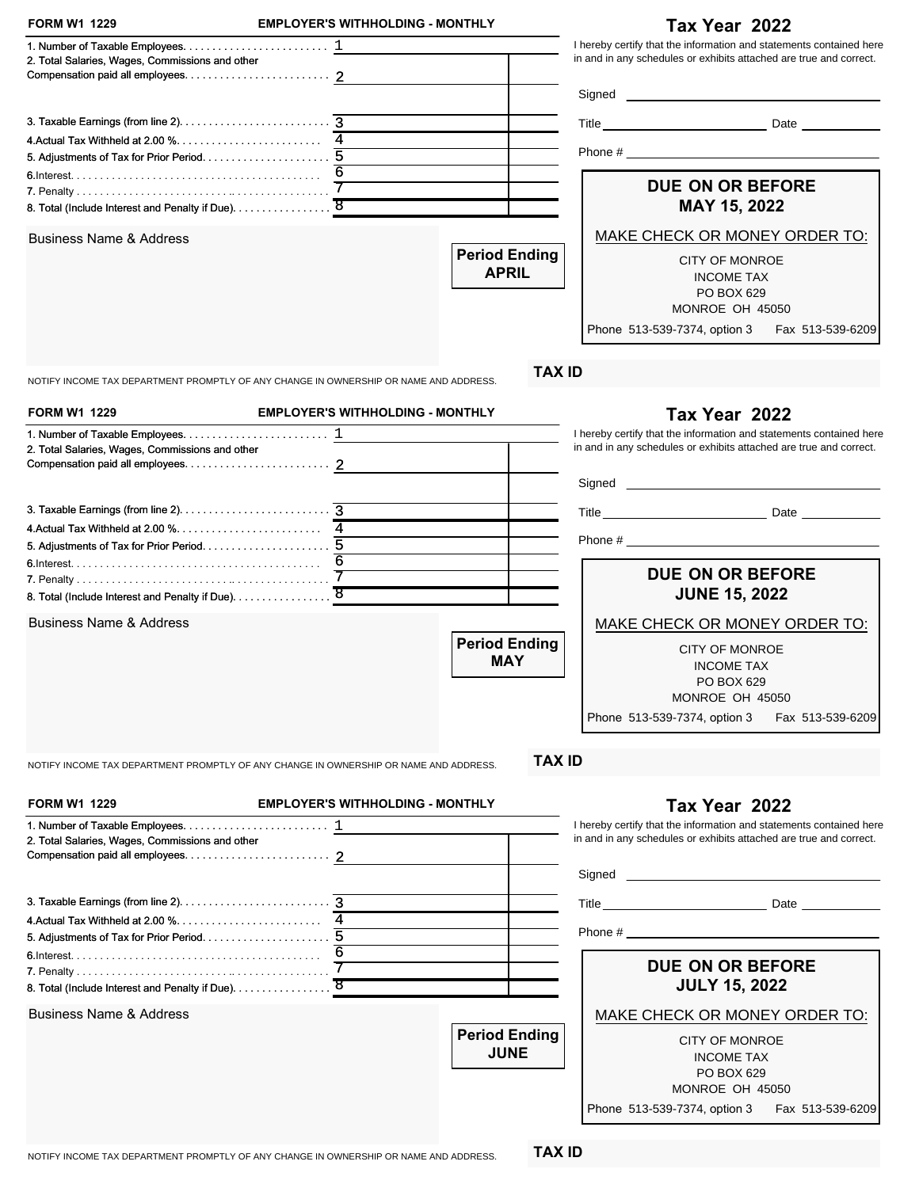| in and in any schedules or exhibits attached are true and correct.<br>2. Total Salaries, Wages, Commissions and other<br>4. Actual Tax Withheld at 2.00 %<br><b>DUE ON OR BEFORE</b><br>8. Total (Include Interest and Penalty if Due). 8<br>MAY 15, 2022<br>MAKE CHECK OR MONEY ORDER TO:<br><b>Period Ending</b><br><b>CITY OF MONROE</b><br><b>APRIL</b><br><b>INCOME TAX</b><br>PO BOX 629<br>MONROE OH 45050<br>Phone 513-539-7374, option 3 Fax 513-539-6209<br><b>TAX ID</b><br>NOTIFY INCOME TAX DEPARTMENT PROMPTLY OF ANY CHANGE IN OWNERSHIP OR NAME AND ADDRESS.<br><b>EMPLOYER'S WITHHOLDING - MONTHLY</b><br>Tax Year 2022<br>in and in any schedules or exhibits attached are true and correct.<br>2. Total Salaries, Wages, Commissions and other<br>Phone # $\frac{1}{2}$ $\frac{1}{2}$ $\frac{1}{2}$ $\frac{1}{2}$ $\frac{1}{2}$ $\frac{1}{2}$ $\frac{1}{2}$ $\frac{1}{2}$ $\frac{1}{2}$ $\frac{1}{2}$ $\frac{1}{2}$ $\frac{1}{2}$ $\frac{1}{2}$ $\frac{1}{2}$ $\frac{1}{2}$ $\frac{1}{2}$ $\frac{1}{2}$ $\frac{1}{2}$ $\frac{1}{2}$ $\frac{1}{2}$ $\frac{1}{2}$ $\frac$<br><b>DUE ON OR BEFORE</b><br>8. Total (Include Interest and Penalty if Due). 8<br><b>JUNE 15, 2022</b><br><b>Business Name &amp; Address</b><br>MAKE CHECK OR MONEY ORDER TO:<br><b>Period Ending</b><br><b>CITY OF MONROE</b><br><b>MAY</b><br><b>INCOME TAX</b><br>PO BOX 629<br>MONROE OH 45050<br>Phone 513-539-7374, option 3<br>Fax 513-539-6209<br><b>TAX ID</b><br>NOTIFY INCOME TAX DEPARTMENT PROMPTLY OF ANY CHANGE IN OWNERSHIP OR NAME AND ADDRESS.<br><b>FORM W1 1229</b><br><b>EMPLOYER'S WITHHOLDING - MONTHLY</b><br>Tax Year 2022<br>in and in any schedules or exhibits attached are true and correct.<br>2. Total Salaries, Wages, Commissions and other<br>6<br><b>DUE ON OR BEFORE</b><br><b>JULY 15, 2022</b><br><b>Business Name &amp; Address</b><br>MAKE CHECK OR MONEY ORDER TO:<br><b>Period Ending</b><br><b>CITY OF MONROE</b><br><b>JUNE</b><br><b>INCOME TAX</b><br>PO BOX 629<br>MONROE OH 45050<br>Phone 513-539-7374, option 3<br>Fax 513-539-6209 | <b>FORM W1 1229</b>                | <b>EMPLOYER'S WITHHOLDING - MONTHLY</b> | Tax Year 2022                                                       |
|-----------------------------------------------------------------------------------------------------------------------------------------------------------------------------------------------------------------------------------------------------------------------------------------------------------------------------------------------------------------------------------------------------------------------------------------------------------------------------------------------------------------------------------------------------------------------------------------------------------------------------------------------------------------------------------------------------------------------------------------------------------------------------------------------------------------------------------------------------------------------------------------------------------------------------------------------------------------------------------------------------------------------------------------------------------------------------------------------------------------------------------------------------------------------------------------------------------------------------------------------------------------------------------------------------------------------------------------------------------------------------------------------------------------------------------------------------------------------------------------------------------------------------------------------------------------------------------------------------------------------------------------------------------------------------------------------------------------------------------------------------------------------------------------------------------------------------------------------------------------------------------------------------------------------------------------------------------------------------------------------------------------------------------------------------------------------------------|------------------------------------|-----------------------------------------|---------------------------------------------------------------------|
|                                                                                                                                                                                                                                                                                                                                                                                                                                                                                                                                                                                                                                                                                                                                                                                                                                                                                                                                                                                                                                                                                                                                                                                                                                                                                                                                                                                                                                                                                                                                                                                                                                                                                                                                                                                                                                                                                                                                                                                                                                                                                   |                                    |                                         | I hereby certify that the information and statements contained here |
|                                                                                                                                                                                                                                                                                                                                                                                                                                                                                                                                                                                                                                                                                                                                                                                                                                                                                                                                                                                                                                                                                                                                                                                                                                                                                                                                                                                                                                                                                                                                                                                                                                                                                                                                                                                                                                                                                                                                                                                                                                                                                   |                                    |                                         |                                                                     |
|                                                                                                                                                                                                                                                                                                                                                                                                                                                                                                                                                                                                                                                                                                                                                                                                                                                                                                                                                                                                                                                                                                                                                                                                                                                                                                                                                                                                                                                                                                                                                                                                                                                                                                                                                                                                                                                                                                                                                                                                                                                                                   |                                    |                                         |                                                                     |
|                                                                                                                                                                                                                                                                                                                                                                                                                                                                                                                                                                                                                                                                                                                                                                                                                                                                                                                                                                                                                                                                                                                                                                                                                                                                                                                                                                                                                                                                                                                                                                                                                                                                                                                                                                                                                                                                                                                                                                                                                                                                                   |                                    |                                         |                                                                     |
|                                                                                                                                                                                                                                                                                                                                                                                                                                                                                                                                                                                                                                                                                                                                                                                                                                                                                                                                                                                                                                                                                                                                                                                                                                                                                                                                                                                                                                                                                                                                                                                                                                                                                                                                                                                                                                                                                                                                                                                                                                                                                   |                                    |                                         |                                                                     |
|                                                                                                                                                                                                                                                                                                                                                                                                                                                                                                                                                                                                                                                                                                                                                                                                                                                                                                                                                                                                                                                                                                                                                                                                                                                                                                                                                                                                                                                                                                                                                                                                                                                                                                                                                                                                                                                                                                                                                                                                                                                                                   |                                    |                                         |                                                                     |
|                                                                                                                                                                                                                                                                                                                                                                                                                                                                                                                                                                                                                                                                                                                                                                                                                                                                                                                                                                                                                                                                                                                                                                                                                                                                                                                                                                                                                                                                                                                                                                                                                                                                                                                                                                                                                                                                                                                                                                                                                                                                                   |                                    |                                         |                                                                     |
|                                                                                                                                                                                                                                                                                                                                                                                                                                                                                                                                                                                                                                                                                                                                                                                                                                                                                                                                                                                                                                                                                                                                                                                                                                                                                                                                                                                                                                                                                                                                                                                                                                                                                                                                                                                                                                                                                                                                                                                                                                                                                   | <b>Business Name &amp; Address</b> |                                         |                                                                     |
|                                                                                                                                                                                                                                                                                                                                                                                                                                                                                                                                                                                                                                                                                                                                                                                                                                                                                                                                                                                                                                                                                                                                                                                                                                                                                                                                                                                                                                                                                                                                                                                                                                                                                                                                                                                                                                                                                                                                                                                                                                                                                   |                                    |                                         |                                                                     |
|                                                                                                                                                                                                                                                                                                                                                                                                                                                                                                                                                                                                                                                                                                                                                                                                                                                                                                                                                                                                                                                                                                                                                                                                                                                                                                                                                                                                                                                                                                                                                                                                                                                                                                                                                                                                                                                                                                                                                                                                                                                                                   |                                    |                                         |                                                                     |
|                                                                                                                                                                                                                                                                                                                                                                                                                                                                                                                                                                                                                                                                                                                                                                                                                                                                                                                                                                                                                                                                                                                                                                                                                                                                                                                                                                                                                                                                                                                                                                                                                                                                                                                                                                                                                                                                                                                                                                                                                                                                                   |                                    |                                         |                                                                     |
|                                                                                                                                                                                                                                                                                                                                                                                                                                                                                                                                                                                                                                                                                                                                                                                                                                                                                                                                                                                                                                                                                                                                                                                                                                                                                                                                                                                                                                                                                                                                                                                                                                                                                                                                                                                                                                                                                                                                                                                                                                                                                   | <b>FORM W1 1229</b>                |                                         |                                                                     |
|                                                                                                                                                                                                                                                                                                                                                                                                                                                                                                                                                                                                                                                                                                                                                                                                                                                                                                                                                                                                                                                                                                                                                                                                                                                                                                                                                                                                                                                                                                                                                                                                                                                                                                                                                                                                                                                                                                                                                                                                                                                                                   |                                    |                                         | I hereby certify that the information and statements contained here |
|                                                                                                                                                                                                                                                                                                                                                                                                                                                                                                                                                                                                                                                                                                                                                                                                                                                                                                                                                                                                                                                                                                                                                                                                                                                                                                                                                                                                                                                                                                                                                                                                                                                                                                                                                                                                                                                                                                                                                                                                                                                                                   |                                    |                                         |                                                                     |
|                                                                                                                                                                                                                                                                                                                                                                                                                                                                                                                                                                                                                                                                                                                                                                                                                                                                                                                                                                                                                                                                                                                                                                                                                                                                                                                                                                                                                                                                                                                                                                                                                                                                                                                                                                                                                                                                                                                                                                                                                                                                                   |                                    |                                         |                                                                     |
|                                                                                                                                                                                                                                                                                                                                                                                                                                                                                                                                                                                                                                                                                                                                                                                                                                                                                                                                                                                                                                                                                                                                                                                                                                                                                                                                                                                                                                                                                                                                                                                                                                                                                                                                                                                                                                                                                                                                                                                                                                                                                   |                                    |                                         |                                                                     |
|                                                                                                                                                                                                                                                                                                                                                                                                                                                                                                                                                                                                                                                                                                                                                                                                                                                                                                                                                                                                                                                                                                                                                                                                                                                                                                                                                                                                                                                                                                                                                                                                                                                                                                                                                                                                                                                                                                                                                                                                                                                                                   |                                    |                                         |                                                                     |
|                                                                                                                                                                                                                                                                                                                                                                                                                                                                                                                                                                                                                                                                                                                                                                                                                                                                                                                                                                                                                                                                                                                                                                                                                                                                                                                                                                                                                                                                                                                                                                                                                                                                                                                                                                                                                                                                                                                                                                                                                                                                                   |                                    |                                         |                                                                     |
|                                                                                                                                                                                                                                                                                                                                                                                                                                                                                                                                                                                                                                                                                                                                                                                                                                                                                                                                                                                                                                                                                                                                                                                                                                                                                                                                                                                                                                                                                                                                                                                                                                                                                                                                                                                                                                                                                                                                                                                                                                                                                   |                                    |                                         |                                                                     |
|                                                                                                                                                                                                                                                                                                                                                                                                                                                                                                                                                                                                                                                                                                                                                                                                                                                                                                                                                                                                                                                                                                                                                                                                                                                                                                                                                                                                                                                                                                                                                                                                                                                                                                                                                                                                                                                                                                                                                                                                                                                                                   |                                    |                                         |                                                                     |
|                                                                                                                                                                                                                                                                                                                                                                                                                                                                                                                                                                                                                                                                                                                                                                                                                                                                                                                                                                                                                                                                                                                                                                                                                                                                                                                                                                                                                                                                                                                                                                                                                                                                                                                                                                                                                                                                                                                                                                                                                                                                                   |                                    |                                         |                                                                     |
|                                                                                                                                                                                                                                                                                                                                                                                                                                                                                                                                                                                                                                                                                                                                                                                                                                                                                                                                                                                                                                                                                                                                                                                                                                                                                                                                                                                                                                                                                                                                                                                                                                                                                                                                                                                                                                                                                                                                                                                                                                                                                   |                                    |                                         |                                                                     |
|                                                                                                                                                                                                                                                                                                                                                                                                                                                                                                                                                                                                                                                                                                                                                                                                                                                                                                                                                                                                                                                                                                                                                                                                                                                                                                                                                                                                                                                                                                                                                                                                                                                                                                                                                                                                                                                                                                                                                                                                                                                                                   |                                    |                                         |                                                                     |
|                                                                                                                                                                                                                                                                                                                                                                                                                                                                                                                                                                                                                                                                                                                                                                                                                                                                                                                                                                                                                                                                                                                                                                                                                                                                                                                                                                                                                                                                                                                                                                                                                                                                                                                                                                                                                                                                                                                                                                                                                                                                                   |                                    |                                         |                                                                     |
|                                                                                                                                                                                                                                                                                                                                                                                                                                                                                                                                                                                                                                                                                                                                                                                                                                                                                                                                                                                                                                                                                                                                                                                                                                                                                                                                                                                                                                                                                                                                                                                                                                                                                                                                                                                                                                                                                                                                                                                                                                                                                   |                                    |                                         |                                                                     |
|                                                                                                                                                                                                                                                                                                                                                                                                                                                                                                                                                                                                                                                                                                                                                                                                                                                                                                                                                                                                                                                                                                                                                                                                                                                                                                                                                                                                                                                                                                                                                                                                                                                                                                                                                                                                                                                                                                                                                                                                                                                                                   |                                    |                                         |                                                                     |
|                                                                                                                                                                                                                                                                                                                                                                                                                                                                                                                                                                                                                                                                                                                                                                                                                                                                                                                                                                                                                                                                                                                                                                                                                                                                                                                                                                                                                                                                                                                                                                                                                                                                                                                                                                                                                                                                                                                                                                                                                                                                                   |                                    |                                         | I hereby certify that the information and statements contained here |
|                                                                                                                                                                                                                                                                                                                                                                                                                                                                                                                                                                                                                                                                                                                                                                                                                                                                                                                                                                                                                                                                                                                                                                                                                                                                                                                                                                                                                                                                                                                                                                                                                                                                                                                                                                                                                                                                                                                                                                                                                                                                                   |                                    |                                         |                                                                     |
|                                                                                                                                                                                                                                                                                                                                                                                                                                                                                                                                                                                                                                                                                                                                                                                                                                                                                                                                                                                                                                                                                                                                                                                                                                                                                                                                                                                                                                                                                                                                                                                                                                                                                                                                                                                                                                                                                                                                                                                                                                                                                   |                                    |                                         |                                                                     |
|                                                                                                                                                                                                                                                                                                                                                                                                                                                                                                                                                                                                                                                                                                                                                                                                                                                                                                                                                                                                                                                                                                                                                                                                                                                                                                                                                                                                                                                                                                                                                                                                                                                                                                                                                                                                                                                                                                                                                                                                                                                                                   |                                    |                                         |                                                                     |
|                                                                                                                                                                                                                                                                                                                                                                                                                                                                                                                                                                                                                                                                                                                                                                                                                                                                                                                                                                                                                                                                                                                                                                                                                                                                                                                                                                                                                                                                                                                                                                                                                                                                                                                                                                                                                                                                                                                                                                                                                                                                                   |                                    |                                         |                                                                     |
|                                                                                                                                                                                                                                                                                                                                                                                                                                                                                                                                                                                                                                                                                                                                                                                                                                                                                                                                                                                                                                                                                                                                                                                                                                                                                                                                                                                                                                                                                                                                                                                                                                                                                                                                                                                                                                                                                                                                                                                                                                                                                   |                                    |                                         |                                                                     |
|                                                                                                                                                                                                                                                                                                                                                                                                                                                                                                                                                                                                                                                                                                                                                                                                                                                                                                                                                                                                                                                                                                                                                                                                                                                                                                                                                                                                                                                                                                                                                                                                                                                                                                                                                                                                                                                                                                                                                                                                                                                                                   |                                    |                                         |                                                                     |
|                                                                                                                                                                                                                                                                                                                                                                                                                                                                                                                                                                                                                                                                                                                                                                                                                                                                                                                                                                                                                                                                                                                                                                                                                                                                                                                                                                                                                                                                                                                                                                                                                                                                                                                                                                                                                                                                                                                                                                                                                                                                                   |                                    |                                         |                                                                     |
|                                                                                                                                                                                                                                                                                                                                                                                                                                                                                                                                                                                                                                                                                                                                                                                                                                                                                                                                                                                                                                                                                                                                                                                                                                                                                                                                                                                                                                                                                                                                                                                                                                                                                                                                                                                                                                                                                                                                                                                                                                                                                   |                                    |                                         |                                                                     |
|                                                                                                                                                                                                                                                                                                                                                                                                                                                                                                                                                                                                                                                                                                                                                                                                                                                                                                                                                                                                                                                                                                                                                                                                                                                                                                                                                                                                                                                                                                                                                                                                                                                                                                                                                                                                                                                                                                                                                                                                                                                                                   |                                    |                                         |                                                                     |
|                                                                                                                                                                                                                                                                                                                                                                                                                                                                                                                                                                                                                                                                                                                                                                                                                                                                                                                                                                                                                                                                                                                                                                                                                                                                                                                                                                                                                                                                                                                                                                                                                                                                                                                                                                                                                                                                                                                                                                                                                                                                                   |                                    |                                         |                                                                     |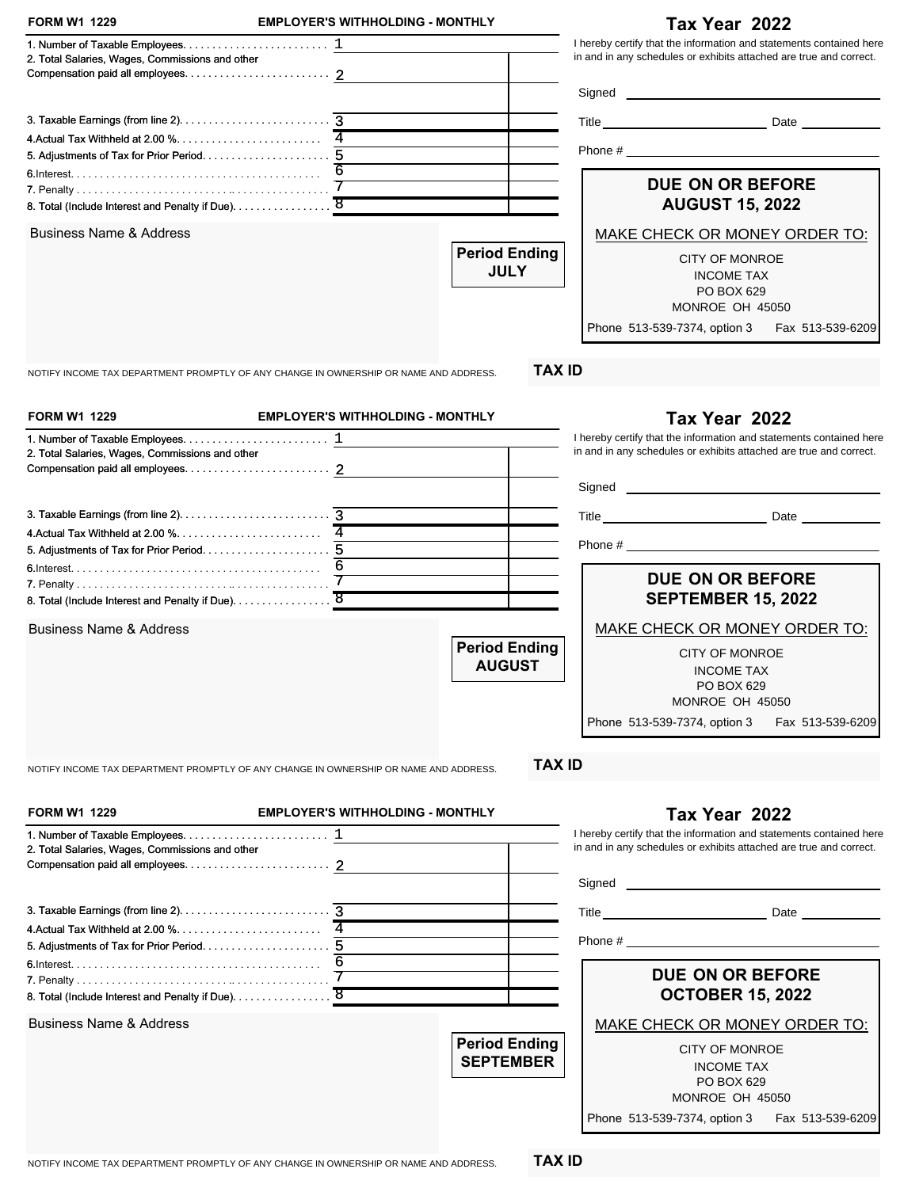| <b>FORM W1 1229</b>                                                                   | <b>EMPLOYER'S WITHHOLDING - MONTHLY</b> |                      | Tax Year 2022                                                       |
|---------------------------------------------------------------------------------------|-----------------------------------------|----------------------|---------------------------------------------------------------------|
|                                                                                       |                                         |                      | I hereby certify that the information and statements contained here |
| 2. Total Salaries, Wages, Commissions and other                                       |                                         |                      | in and in any schedules or exhibits attached are true and correct.  |
|                                                                                       |                                         |                      |                                                                     |
|                                                                                       |                                         |                      |                                                                     |
|                                                                                       |                                         |                      |                                                                     |
|                                                                                       |                                         |                      |                                                                     |
|                                                                                       |                                         |                      |                                                                     |
|                                                                                       | 6                                       |                      | <b>DUE ON OR BEFORE</b>                                             |
| 8. Total (Include Interest and Penalty if Due). 8                                     |                                         |                      | <b>AUGUST 15, 2022</b>                                              |
|                                                                                       |                                         |                      |                                                                     |
| <b>Business Name &amp; Address</b>                                                    |                                         | <b>Period Ending</b> | MAKE CHECK OR MONEY ORDER TO:                                       |
|                                                                                       |                                         | <b>JULY</b>          | <b>CITY OF MONROE</b>                                               |
|                                                                                       |                                         |                      | <b>INCOME TAX</b>                                                   |
|                                                                                       |                                         |                      | PO BOX 629<br>MONROE OH 45050                                       |
|                                                                                       |                                         |                      |                                                                     |
|                                                                                       |                                         |                      | Phone 513-539-7374, option 3 Fax 513-539-6209                       |
| NOTIFY INCOME TAX DEPARTMENT PROMPTLY OF ANY CHANGE IN OWNERSHIP OR NAME AND ADDRESS. |                                         | <b>TAX ID</b>        |                                                                     |
| <b>FORM W1 1229</b>                                                                   | <b>EMPLOYER'S WITHHOLDING - MONTHLY</b> |                      | Tax Year 2022                                                       |
|                                                                                       |                                         |                      | I hereby certify that the information and statements contained here |
| 2. Total Salaries, Wages, Commissions and other                                       |                                         |                      | in and in any schedules or exhibits attached are true and correct.  |
|                                                                                       |                                         |                      |                                                                     |
|                                                                                       |                                         |                      |                                                                     |
|                                                                                       |                                         |                      |                                                                     |
|                                                                                       |                                         |                      |                                                                     |
|                                                                                       |                                         |                      |                                                                     |
|                                                                                       |                                         |                      |                                                                     |
|                                                                                       |                                         |                      | <b>DUE ON OR BEFORE</b>                                             |
| 8. Total (Include Interest and Penalty if Due). 8                                     |                                         |                      | <b>SEPTEMBER 15, 2022</b>                                           |
| <b>Business Name &amp; Address</b>                                                    |                                         |                      | MAKE CHECK OR MONEY ORDER TO:                                       |
|                                                                                       |                                         | <b>Period Ending</b> |                                                                     |
|                                                                                       |                                         | <b>AUGUST</b>        | <b>CITY OF MONROE</b>                                               |
|                                                                                       |                                         |                      | <b>INCOME TAX</b>                                                   |
|                                                                                       |                                         |                      | PO BOX 629<br>MONROE OH 45050                                       |
|                                                                                       |                                         |                      |                                                                     |
|                                                                                       |                                         |                      | Phone 513-539-7374, option 3<br>Fax 513-539-6209                    |
| NOTIFY INCOME TAX DEPARTMENT PROMPTLY OF ANY CHANGE IN OWNERSHIP OR NAME AND ADDRESS. |                                         | <b>TAX ID</b>        |                                                                     |
|                                                                                       |                                         |                      |                                                                     |
| <b>FORM W1 1229</b>                                                                   | <b>EMPLOYER'S WITHHOLDING - MONTHLY</b> |                      | Tax Year 2022                                                       |
|                                                                                       |                                         |                      | I hereby certify that the information and statements contained here |
| 2. Total Salaries, Wages, Commissions and other                                       |                                         |                      | in and in any schedules or exhibits attached are true and correct.  |
|                                                                                       |                                         |                      |                                                                     |
|                                                                                       |                                         |                      |                                                                     |
|                                                                                       |                                         |                      |                                                                     |
|                                                                                       |                                         |                      | Phone $\#$                                                          |
|                                                                                       |                                         |                      |                                                                     |
|                                                                                       | 6                                       |                      | <b>DUE ON OR BEFORE</b>                                             |
|                                                                                       |                                         |                      |                                                                     |
|                                                                                       |                                         |                      |                                                                     |
| 8. Total (Include Interest and Penalty if Due). 8                                     |                                         |                      | <b>OCTOBER 15, 2022</b>                                             |
| <b>Business Name &amp; Address</b>                                                    |                                         |                      | MAKE CHECK OR MONEY ORDER TO:                                       |
|                                                                                       |                                         | <b>Period Ending</b> | <b>CITY OF MONROE</b>                                               |
|                                                                                       |                                         | <b>SEPTEMBER</b>     | <b>INCOME TAX</b>                                                   |
|                                                                                       |                                         |                      | PO BOX 629                                                          |
|                                                                                       |                                         |                      | MONROE OH 45050<br>Phone 513-539-7374, option 3                     |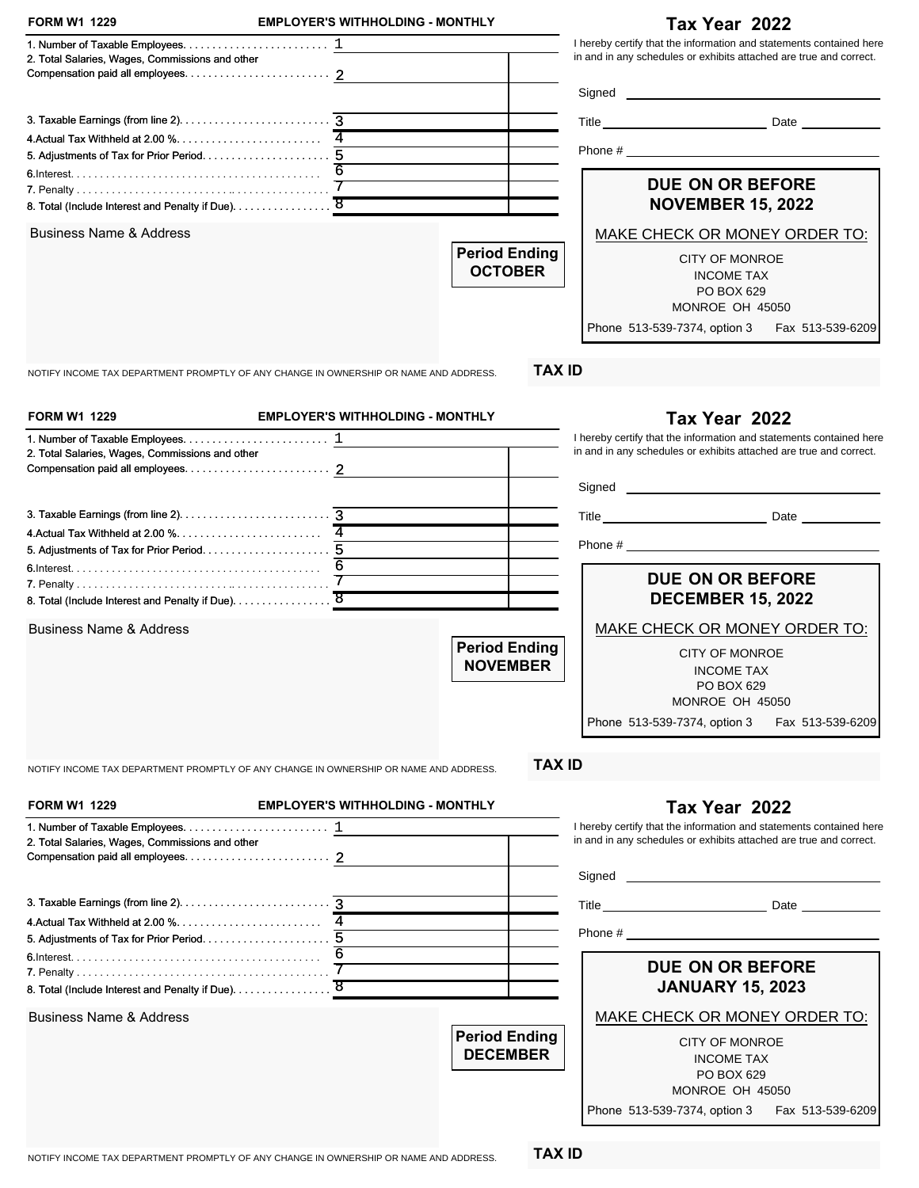| I hereby certify that the information and statements contained here<br>in and in any schedules or exhibits attached are true and correct.<br>2. Total Salaries, Wages, Commissions and other<br>Phone # $\frac{1}{2}$ $\frac{1}{2}$ $\frac{1}{2}$ $\frac{1}{2}$ $\frac{1}{2}$ $\frac{1}{2}$ $\frac{1}{2}$ $\frac{1}{2}$ $\frac{1}{2}$ $\frac{1}{2}$ $\frac{1}{2}$ $\frac{1}{2}$ $\frac{1}{2}$ $\frac{1}{2}$ $\frac{1}{2}$ $\frac{1}{2}$ $\frac{1}{2}$ $\frac{1}{2}$ $\frac{1}{2}$ $\frac{1}{2}$ $\frac{1}{2}$ $\frac$<br><b>DUE ON OR BEFORE</b><br><b>NOVEMBER 15, 2022</b><br><b>Business Name &amp; Address</b><br>MAKE CHECK OR MONEY ORDER TO:<br><b>Period Ending</b><br><b>CITY OF MONROE</b><br><b>OCTOBER</b><br><b>INCOME TAX</b><br>PO BOX 629<br>MONROE OH 45050<br>Phone 513-539-7374, option 3 Fax 513-539-6209<br><b>TAX ID</b><br>NOTIFY INCOME TAX DEPARTMENT PROMPTLY OF ANY CHANGE IN OWNERSHIP OR NAME AND ADDRESS.<br><b>FORM W1 1229</b><br><b>EMPLOYER'S WITHHOLDING - MONTHLY</b><br>Tax Year 2022<br>I hereby certify that the information and statements contained here<br>in and in any schedules or exhibits attached are true and correct.<br>2. Total Salaries, Wages, Commissions and other<br>6<br>DUE ON OR BEFORE<br><b>DECEMBER 15, 2022</b><br>MAKE CHECK OR MONEY ORDER TO:<br><b>Business Name &amp; Address</b><br><b>Period Ending</b><br><b>CITY OF MONROE</b><br><b>NOVEMBER</b><br><b>INCOME TAX</b><br>PO BOX 629<br>MONROE OH 45050<br>Phone 513-539-7374, option 3<br>Fax 513-539-6209<br><b>TAX ID</b><br>NOTIFY INCOME TAX DEPARTMENT PROMPTLY OF ANY CHANGE IN OWNERSHIP OR NAME AND ADDRESS.<br><b>FORM W1 1229</b><br><b>EMPLOYER'S WITHHOLDING - MONTHLY</b><br>Tax Year 2022<br>I hereby certify that the information and statements contained here<br>in and in any schedules or exhibits attached are true and correct.<br>2. Total Salaries, Wages, Commissions and other<br>6<br><b>DUE ON OR BEFORE</b><br><b>JANUARY 15, 2023</b><br><b>Business Name &amp; Address</b><br>MAKE CHECK OR MONEY ORDER TO:<br><b>Period Ending</b><br>CITY OF MONROE<br><b>DECEMBER</b><br><b>INCOME TAX</b><br>PO BOX 629<br>MONROE OH 45050<br>Phone 513-539-7374, option 3 Fax 513-539-6209 | <b>FORM W1 1229</b> | <b>EMPLOYER'S WITHHOLDING - MONTHLY</b> | Tax Year 2022 |
|-----------------------------------------------------------------------------------------------------------------------------------------------------------------------------------------------------------------------------------------------------------------------------------------------------------------------------------------------------------------------------------------------------------------------------------------------------------------------------------------------------------------------------------------------------------------------------------------------------------------------------------------------------------------------------------------------------------------------------------------------------------------------------------------------------------------------------------------------------------------------------------------------------------------------------------------------------------------------------------------------------------------------------------------------------------------------------------------------------------------------------------------------------------------------------------------------------------------------------------------------------------------------------------------------------------------------------------------------------------------------------------------------------------------------------------------------------------------------------------------------------------------------------------------------------------------------------------------------------------------------------------------------------------------------------------------------------------------------------------------------------------------------------------------------------------------------------------------------------------------------------------------------------------------------------------------------------------------------------------------------------------------------------------------------------------------------------------------------------------------------------------------------------------------------------------------------------------------------------------------|---------------------|-----------------------------------------|---------------|
|                                                                                                                                                                                                                                                                                                                                                                                                                                                                                                                                                                                                                                                                                                                                                                                                                                                                                                                                                                                                                                                                                                                                                                                                                                                                                                                                                                                                                                                                                                                                                                                                                                                                                                                                                                                                                                                                                                                                                                                                                                                                                                                                                                                                                                         |                     |                                         |               |
|                                                                                                                                                                                                                                                                                                                                                                                                                                                                                                                                                                                                                                                                                                                                                                                                                                                                                                                                                                                                                                                                                                                                                                                                                                                                                                                                                                                                                                                                                                                                                                                                                                                                                                                                                                                                                                                                                                                                                                                                                                                                                                                                                                                                                                         |                     |                                         |               |
|                                                                                                                                                                                                                                                                                                                                                                                                                                                                                                                                                                                                                                                                                                                                                                                                                                                                                                                                                                                                                                                                                                                                                                                                                                                                                                                                                                                                                                                                                                                                                                                                                                                                                                                                                                                                                                                                                                                                                                                                                                                                                                                                                                                                                                         |                     |                                         |               |
|                                                                                                                                                                                                                                                                                                                                                                                                                                                                                                                                                                                                                                                                                                                                                                                                                                                                                                                                                                                                                                                                                                                                                                                                                                                                                                                                                                                                                                                                                                                                                                                                                                                                                                                                                                                                                                                                                                                                                                                                                                                                                                                                                                                                                                         |                     |                                         |               |
|                                                                                                                                                                                                                                                                                                                                                                                                                                                                                                                                                                                                                                                                                                                                                                                                                                                                                                                                                                                                                                                                                                                                                                                                                                                                                                                                                                                                                                                                                                                                                                                                                                                                                                                                                                                                                                                                                                                                                                                                                                                                                                                                                                                                                                         |                     |                                         |               |
|                                                                                                                                                                                                                                                                                                                                                                                                                                                                                                                                                                                                                                                                                                                                                                                                                                                                                                                                                                                                                                                                                                                                                                                                                                                                                                                                                                                                                                                                                                                                                                                                                                                                                                                                                                                                                                                                                                                                                                                                                                                                                                                                                                                                                                         |                     |                                         |               |
|                                                                                                                                                                                                                                                                                                                                                                                                                                                                                                                                                                                                                                                                                                                                                                                                                                                                                                                                                                                                                                                                                                                                                                                                                                                                                                                                                                                                                                                                                                                                                                                                                                                                                                                                                                                                                                                                                                                                                                                                                                                                                                                                                                                                                                         |                     |                                         |               |
|                                                                                                                                                                                                                                                                                                                                                                                                                                                                                                                                                                                                                                                                                                                                                                                                                                                                                                                                                                                                                                                                                                                                                                                                                                                                                                                                                                                                                                                                                                                                                                                                                                                                                                                                                                                                                                                                                                                                                                                                                                                                                                                                                                                                                                         |                     |                                         |               |
|                                                                                                                                                                                                                                                                                                                                                                                                                                                                                                                                                                                                                                                                                                                                                                                                                                                                                                                                                                                                                                                                                                                                                                                                                                                                                                                                                                                                                                                                                                                                                                                                                                                                                                                                                                                                                                                                                                                                                                                                                                                                                                                                                                                                                                         |                     |                                         |               |
|                                                                                                                                                                                                                                                                                                                                                                                                                                                                                                                                                                                                                                                                                                                                                                                                                                                                                                                                                                                                                                                                                                                                                                                                                                                                                                                                                                                                                                                                                                                                                                                                                                                                                                                                                                                                                                                                                                                                                                                                                                                                                                                                                                                                                                         |                     |                                         |               |
|                                                                                                                                                                                                                                                                                                                                                                                                                                                                                                                                                                                                                                                                                                                                                                                                                                                                                                                                                                                                                                                                                                                                                                                                                                                                                                                                                                                                                                                                                                                                                                                                                                                                                                                                                                                                                                                                                                                                                                                                                                                                                                                                                                                                                                         |                     |                                         |               |
|                                                                                                                                                                                                                                                                                                                                                                                                                                                                                                                                                                                                                                                                                                                                                                                                                                                                                                                                                                                                                                                                                                                                                                                                                                                                                                                                                                                                                                                                                                                                                                                                                                                                                                                                                                                                                                                                                                                                                                                                                                                                                                                                                                                                                                         |                     |                                         |               |
|                                                                                                                                                                                                                                                                                                                                                                                                                                                                                                                                                                                                                                                                                                                                                                                                                                                                                                                                                                                                                                                                                                                                                                                                                                                                                                                                                                                                                                                                                                                                                                                                                                                                                                                                                                                                                                                                                                                                                                                                                                                                                                                                                                                                                                         |                     |                                         |               |
|                                                                                                                                                                                                                                                                                                                                                                                                                                                                                                                                                                                                                                                                                                                                                                                                                                                                                                                                                                                                                                                                                                                                                                                                                                                                                                                                                                                                                                                                                                                                                                                                                                                                                                                                                                                                                                                                                                                                                                                                                                                                                                                                                                                                                                         |                     |                                         |               |
|                                                                                                                                                                                                                                                                                                                                                                                                                                                                                                                                                                                                                                                                                                                                                                                                                                                                                                                                                                                                                                                                                                                                                                                                                                                                                                                                                                                                                                                                                                                                                                                                                                                                                                                                                                                                                                                                                                                                                                                                                                                                                                                                                                                                                                         |                     |                                         |               |
|                                                                                                                                                                                                                                                                                                                                                                                                                                                                                                                                                                                                                                                                                                                                                                                                                                                                                                                                                                                                                                                                                                                                                                                                                                                                                                                                                                                                                                                                                                                                                                                                                                                                                                                                                                                                                                                                                                                                                                                                                                                                                                                                                                                                                                         |                     |                                         |               |
|                                                                                                                                                                                                                                                                                                                                                                                                                                                                                                                                                                                                                                                                                                                                                                                                                                                                                                                                                                                                                                                                                                                                                                                                                                                                                                                                                                                                                                                                                                                                                                                                                                                                                                                                                                                                                                                                                                                                                                                                                                                                                                                                                                                                                                         |                     |                                         |               |
|                                                                                                                                                                                                                                                                                                                                                                                                                                                                                                                                                                                                                                                                                                                                                                                                                                                                                                                                                                                                                                                                                                                                                                                                                                                                                                                                                                                                                                                                                                                                                                                                                                                                                                                                                                                                                                                                                                                                                                                                                                                                                                                                                                                                                                         |                     |                                         |               |
|                                                                                                                                                                                                                                                                                                                                                                                                                                                                                                                                                                                                                                                                                                                                                                                                                                                                                                                                                                                                                                                                                                                                                                                                                                                                                                                                                                                                                                                                                                                                                                                                                                                                                                                                                                                                                                                                                                                                                                                                                                                                                                                                                                                                                                         |                     |                                         |               |
|                                                                                                                                                                                                                                                                                                                                                                                                                                                                                                                                                                                                                                                                                                                                                                                                                                                                                                                                                                                                                                                                                                                                                                                                                                                                                                                                                                                                                                                                                                                                                                                                                                                                                                                                                                                                                                                                                                                                                                                                                                                                                                                                                                                                                                         |                     |                                         |               |
|                                                                                                                                                                                                                                                                                                                                                                                                                                                                                                                                                                                                                                                                                                                                                                                                                                                                                                                                                                                                                                                                                                                                                                                                                                                                                                                                                                                                                                                                                                                                                                                                                                                                                                                                                                                                                                                                                                                                                                                                                                                                                                                                                                                                                                         |                     |                                         |               |
|                                                                                                                                                                                                                                                                                                                                                                                                                                                                                                                                                                                                                                                                                                                                                                                                                                                                                                                                                                                                                                                                                                                                                                                                                                                                                                                                                                                                                                                                                                                                                                                                                                                                                                                                                                                                                                                                                                                                                                                                                                                                                                                                                                                                                                         |                     |                                         |               |
|                                                                                                                                                                                                                                                                                                                                                                                                                                                                                                                                                                                                                                                                                                                                                                                                                                                                                                                                                                                                                                                                                                                                                                                                                                                                                                                                                                                                                                                                                                                                                                                                                                                                                                                                                                                                                                                                                                                                                                                                                                                                                                                                                                                                                                         |                     |                                         |               |
|                                                                                                                                                                                                                                                                                                                                                                                                                                                                                                                                                                                                                                                                                                                                                                                                                                                                                                                                                                                                                                                                                                                                                                                                                                                                                                                                                                                                                                                                                                                                                                                                                                                                                                                                                                                                                                                                                                                                                                                                                                                                                                                                                                                                                                         |                     |                                         |               |
|                                                                                                                                                                                                                                                                                                                                                                                                                                                                                                                                                                                                                                                                                                                                                                                                                                                                                                                                                                                                                                                                                                                                                                                                                                                                                                                                                                                                                                                                                                                                                                                                                                                                                                                                                                                                                                                                                                                                                                                                                                                                                                                                                                                                                                         |                     |                                         |               |
|                                                                                                                                                                                                                                                                                                                                                                                                                                                                                                                                                                                                                                                                                                                                                                                                                                                                                                                                                                                                                                                                                                                                                                                                                                                                                                                                                                                                                                                                                                                                                                                                                                                                                                                                                                                                                                                                                                                                                                                                                                                                                                                                                                                                                                         |                     |                                         |               |
|                                                                                                                                                                                                                                                                                                                                                                                                                                                                                                                                                                                                                                                                                                                                                                                                                                                                                                                                                                                                                                                                                                                                                                                                                                                                                                                                                                                                                                                                                                                                                                                                                                                                                                                                                                                                                                                                                                                                                                                                                                                                                                                                                                                                                                         |                     |                                         |               |
|                                                                                                                                                                                                                                                                                                                                                                                                                                                                                                                                                                                                                                                                                                                                                                                                                                                                                                                                                                                                                                                                                                                                                                                                                                                                                                                                                                                                                                                                                                                                                                                                                                                                                                                                                                                                                                                                                                                                                                                                                                                                                                                                                                                                                                         |                     |                                         |               |
|                                                                                                                                                                                                                                                                                                                                                                                                                                                                                                                                                                                                                                                                                                                                                                                                                                                                                                                                                                                                                                                                                                                                                                                                                                                                                                                                                                                                                                                                                                                                                                                                                                                                                                                                                                                                                                                                                                                                                                                                                                                                                                                                                                                                                                         |                     |                                         |               |
|                                                                                                                                                                                                                                                                                                                                                                                                                                                                                                                                                                                                                                                                                                                                                                                                                                                                                                                                                                                                                                                                                                                                                                                                                                                                                                                                                                                                                                                                                                                                                                                                                                                                                                                                                                                                                                                                                                                                                                                                                                                                                                                                                                                                                                         |                     |                                         |               |
|                                                                                                                                                                                                                                                                                                                                                                                                                                                                                                                                                                                                                                                                                                                                                                                                                                                                                                                                                                                                                                                                                                                                                                                                                                                                                                                                                                                                                                                                                                                                                                                                                                                                                                                                                                                                                                                                                                                                                                                                                                                                                                                                                                                                                                         |                     |                                         |               |
|                                                                                                                                                                                                                                                                                                                                                                                                                                                                                                                                                                                                                                                                                                                                                                                                                                                                                                                                                                                                                                                                                                                                                                                                                                                                                                                                                                                                                                                                                                                                                                                                                                                                                                                                                                                                                                                                                                                                                                                                                                                                                                                                                                                                                                         |                     |                                         |               |
|                                                                                                                                                                                                                                                                                                                                                                                                                                                                                                                                                                                                                                                                                                                                                                                                                                                                                                                                                                                                                                                                                                                                                                                                                                                                                                                                                                                                                                                                                                                                                                                                                                                                                                                                                                                                                                                                                                                                                                                                                                                                                                                                                                                                                                         |                     |                                         |               |
|                                                                                                                                                                                                                                                                                                                                                                                                                                                                                                                                                                                                                                                                                                                                                                                                                                                                                                                                                                                                                                                                                                                                                                                                                                                                                                                                                                                                                                                                                                                                                                                                                                                                                                                                                                                                                                                                                                                                                                                                                                                                                                                                                                                                                                         |                     |                                         |               |
|                                                                                                                                                                                                                                                                                                                                                                                                                                                                                                                                                                                                                                                                                                                                                                                                                                                                                                                                                                                                                                                                                                                                                                                                                                                                                                                                                                                                                                                                                                                                                                                                                                                                                                                                                                                                                                                                                                                                                                                                                                                                                                                                                                                                                                         |                     |                                         |               |
|                                                                                                                                                                                                                                                                                                                                                                                                                                                                                                                                                                                                                                                                                                                                                                                                                                                                                                                                                                                                                                                                                                                                                                                                                                                                                                                                                                                                                                                                                                                                                                                                                                                                                                                                                                                                                                                                                                                                                                                                                                                                                                                                                                                                                                         |                     |                                         |               |
|                                                                                                                                                                                                                                                                                                                                                                                                                                                                                                                                                                                                                                                                                                                                                                                                                                                                                                                                                                                                                                                                                                                                                                                                                                                                                                                                                                                                                                                                                                                                                                                                                                                                                                                                                                                                                                                                                                                                                                                                                                                                                                                                                                                                                                         |                     |                                         |               |
|                                                                                                                                                                                                                                                                                                                                                                                                                                                                                                                                                                                                                                                                                                                                                                                                                                                                                                                                                                                                                                                                                                                                                                                                                                                                                                                                                                                                                                                                                                                                                                                                                                                                                                                                                                                                                                                                                                                                                                                                                                                                                                                                                                                                                                         |                     |                                         |               |
|                                                                                                                                                                                                                                                                                                                                                                                                                                                                                                                                                                                                                                                                                                                                                                                                                                                                                                                                                                                                                                                                                                                                                                                                                                                                                                                                                                                                                                                                                                                                                                                                                                                                                                                                                                                                                                                                                                                                                                                                                                                                                                                                                                                                                                         |                     |                                         |               |
|                                                                                                                                                                                                                                                                                                                                                                                                                                                                                                                                                                                                                                                                                                                                                                                                                                                                                                                                                                                                                                                                                                                                                                                                                                                                                                                                                                                                                                                                                                                                                                                                                                                                                                                                                                                                                                                                                                                                                                                                                                                                                                                                                                                                                                         |                     |                                         |               |
|                                                                                                                                                                                                                                                                                                                                                                                                                                                                                                                                                                                                                                                                                                                                                                                                                                                                                                                                                                                                                                                                                                                                                                                                                                                                                                                                                                                                                                                                                                                                                                                                                                                                                                                                                                                                                                                                                                                                                                                                                                                                                                                                                                                                                                         |                     |                                         |               |
|                                                                                                                                                                                                                                                                                                                                                                                                                                                                                                                                                                                                                                                                                                                                                                                                                                                                                                                                                                                                                                                                                                                                                                                                                                                                                                                                                                                                                                                                                                                                                                                                                                                                                                                                                                                                                                                                                                                                                                                                                                                                                                                                                                                                                                         |                     |                                         |               |
|                                                                                                                                                                                                                                                                                                                                                                                                                                                                                                                                                                                                                                                                                                                                                                                                                                                                                                                                                                                                                                                                                                                                                                                                                                                                                                                                                                                                                                                                                                                                                                                                                                                                                                                                                                                                                                                                                                                                                                                                                                                                                                                                                                                                                                         |                     |                                         |               |
|                                                                                                                                                                                                                                                                                                                                                                                                                                                                                                                                                                                                                                                                                                                                                                                                                                                                                                                                                                                                                                                                                                                                                                                                                                                                                                                                                                                                                                                                                                                                                                                                                                                                                                                                                                                                                                                                                                                                                                                                                                                                                                                                                                                                                                         |                     |                                         |               |
|                                                                                                                                                                                                                                                                                                                                                                                                                                                                                                                                                                                                                                                                                                                                                                                                                                                                                                                                                                                                                                                                                                                                                                                                                                                                                                                                                                                                                                                                                                                                                                                                                                                                                                                                                                                                                                                                                                                                                                                                                                                                                                                                                                                                                                         |                     |                                         |               |
|                                                                                                                                                                                                                                                                                                                                                                                                                                                                                                                                                                                                                                                                                                                                                                                                                                                                                                                                                                                                                                                                                                                                                                                                                                                                                                                                                                                                                                                                                                                                                                                                                                                                                                                                                                                                                                                                                                                                                                                                                                                                                                                                                                                                                                         |                     |                                         |               |
|                                                                                                                                                                                                                                                                                                                                                                                                                                                                                                                                                                                                                                                                                                                                                                                                                                                                                                                                                                                                                                                                                                                                                                                                                                                                                                                                                                                                                                                                                                                                                                                                                                                                                                                                                                                                                                                                                                                                                                                                                                                                                                                                                                                                                                         |                     |                                         |               |
|                                                                                                                                                                                                                                                                                                                                                                                                                                                                                                                                                                                                                                                                                                                                                                                                                                                                                                                                                                                                                                                                                                                                                                                                                                                                                                                                                                                                                                                                                                                                                                                                                                                                                                                                                                                                                                                                                                                                                                                                                                                                                                                                                                                                                                         |                     |                                         |               |
|                                                                                                                                                                                                                                                                                                                                                                                                                                                                                                                                                                                                                                                                                                                                                                                                                                                                                                                                                                                                                                                                                                                                                                                                                                                                                                                                                                                                                                                                                                                                                                                                                                                                                                                                                                                                                                                                                                                                                                                                                                                                                                                                                                                                                                         |                     |                                         |               |
|                                                                                                                                                                                                                                                                                                                                                                                                                                                                                                                                                                                                                                                                                                                                                                                                                                                                                                                                                                                                                                                                                                                                                                                                                                                                                                                                                                                                                                                                                                                                                                                                                                                                                                                                                                                                                                                                                                                                                                                                                                                                                                                                                                                                                                         |                     |                                         |               |
|                                                                                                                                                                                                                                                                                                                                                                                                                                                                                                                                                                                                                                                                                                                                                                                                                                                                                                                                                                                                                                                                                                                                                                                                                                                                                                                                                                                                                                                                                                                                                                                                                                                                                                                                                                                                                                                                                                                                                                                                                                                                                                                                                                                                                                         |                     |                                         |               |
|                                                                                                                                                                                                                                                                                                                                                                                                                                                                                                                                                                                                                                                                                                                                                                                                                                                                                                                                                                                                                                                                                                                                                                                                                                                                                                                                                                                                                                                                                                                                                                                                                                                                                                                                                                                                                                                                                                                                                                                                                                                                                                                                                                                                                                         |                     |                                         |               |
|                                                                                                                                                                                                                                                                                                                                                                                                                                                                                                                                                                                                                                                                                                                                                                                                                                                                                                                                                                                                                                                                                                                                                                                                                                                                                                                                                                                                                                                                                                                                                                                                                                                                                                                                                                                                                                                                                                                                                                                                                                                                                                                                                                                                                                         |                     |                                         |               |
|                                                                                                                                                                                                                                                                                                                                                                                                                                                                                                                                                                                                                                                                                                                                                                                                                                                                                                                                                                                                                                                                                                                                                                                                                                                                                                                                                                                                                                                                                                                                                                                                                                                                                                                                                                                                                                                                                                                                                                                                                                                                                                                                                                                                                                         |                     |                                         |               |